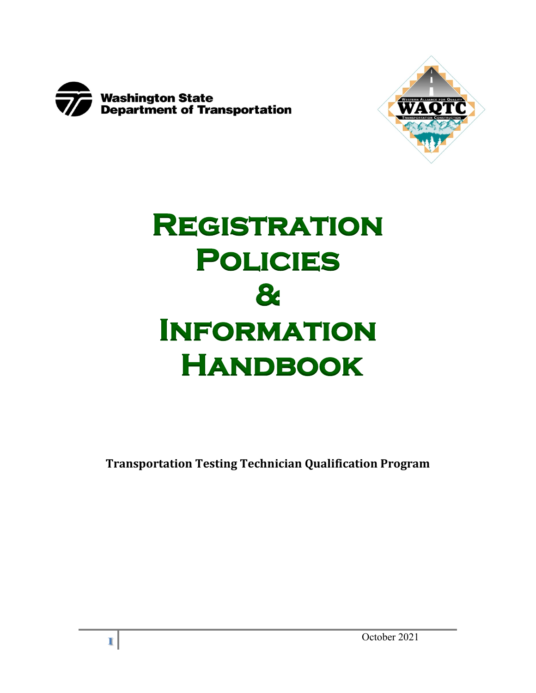



# **Registration Policies & Information Handbook**

**Transportation Testing Technician Qualification Program**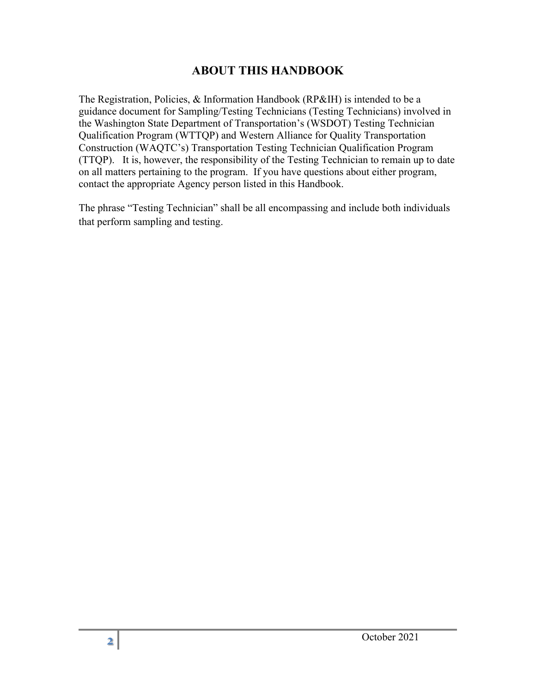## **ABOUT THIS HANDBOOK**

The Registration, Policies, & Information Handbook (RP&IH) is intended to be a guidance document for Sampling/Testing Technicians (Testing Technicians) involved in the Washington State Department of Transportation's (WSDOT) Testing Technician Qualification Program (WTTQP) and Western Alliance for Quality Transportation Construction (WAQTC's) Transportation Testing Technician Qualification Program (TTQP). It is, however, the responsibility of the Testing Technician to remain up to date on all matters pertaining to the program. If you have questions about either program, contact the appropriate Agency person listed in this Handbook.

The phrase "Testing Technician" shall be all encompassing and include both individuals that perform sampling and testing.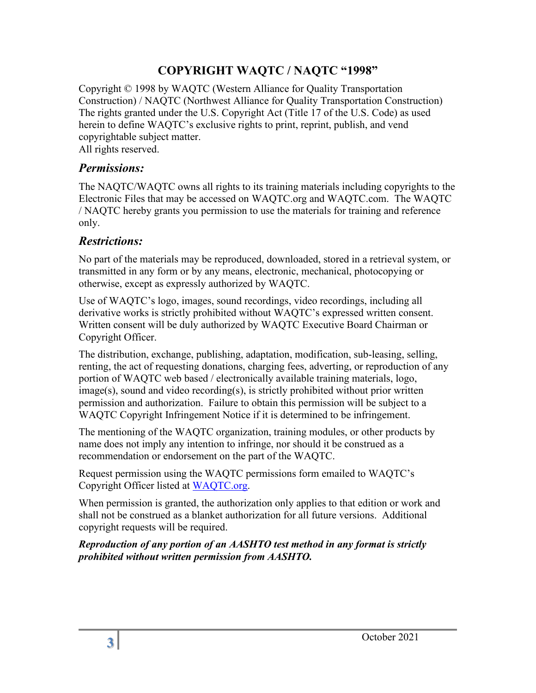## **COPYRIGHT WAQTC / NAQTC "1998"**

Copyright © 1998 by WAQTC (Western Alliance for Quality Transportation Construction) / NAQTC (Northwest Alliance for Quality Transportation Construction) The rights granted under the U.S. Copyright Act (Title 17 of the U.S. Code) as used herein to define WAQTC's exclusive rights to print, reprint, publish, and vend copyrightable subject matter. All rights reserved.

## *Permissions:*

The NAQTC/WAQTC owns all rights to its training materials including copyrights to the Electronic Files that may be accessed on WAQTC.org and WAQTC.com. The WAQTC / NAQTC hereby grants you permission to use the materials for training and reference only.

## *Restrictions:*

No part of the materials may be reproduced, downloaded, stored in a retrieval system, or transmitted in any form or by any means, electronic, mechanical, photocopying or otherwise, except as expressly authorized by WAQTC.

Use of WAQTC's logo, images, sound recordings, video recordings, including all derivative works is strictly prohibited without WAQTC's expressed written consent. Written consent will be duly authorized by WAQTC Executive Board Chairman or Copyright Officer.

The distribution, exchange, publishing, adaptation, modification, sub-leasing, selling, renting, the act of requesting donations, charging fees, adverting, or reproduction of any portion of WAQTC web based / electronically available training materials, logo, image(s), sound and video recording(s), is strictly prohibited without prior written permission and authorization. Failure to obtain this permission will be subject to a WAQTC Copyright Infringement Notice if it is determined to be infringement.

The mentioning of the WAQTC organization, training modules, or other products by name does not imply any intention to infringe, nor should it be construed as a recommendation or endorsement on the part of the WAQTC.

Request permission using the WAQTC permissions form emailed to WAQTC's Copyright Officer listed at [WAQTC.org.](http://waqtc.org/contact.cfm)

When permission is granted, the authorization only applies to that edition or work and shall not be construed as a blanket authorization for all future versions. Additional copyright requests will be required.

*Reproduction of any portion of an AASHTO test method in any format is strictly prohibited without written permission from AASHTO.*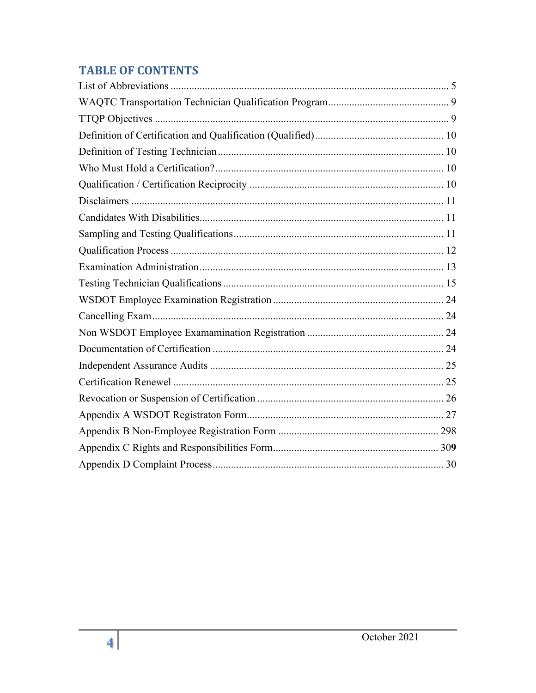# **TABLE OF CONTENTS**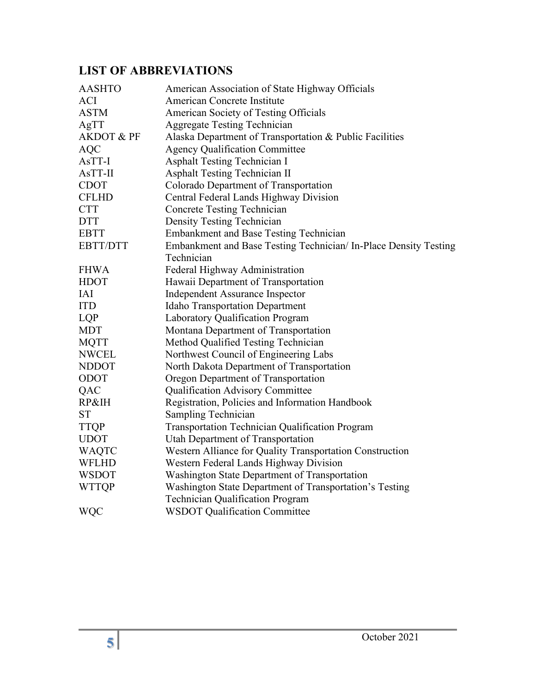# <span id="page-4-0"></span>**LIST OF ABBREVIATIONS**

| <b>AASHTO</b>         | American Association of State Highway Officials                  |
|-----------------------|------------------------------------------------------------------|
| <b>ACI</b>            | American Concrete Institute                                      |
| <b>ASTM</b>           | American Society of Testing Officials                            |
| AgTT                  | <b>Aggregate Testing Technician</b>                              |
| <b>AKDOT &amp; PF</b> | Alaska Department of Transportation & Public Facilities          |
| <b>AQC</b>            | <b>Agency Qualification Committee</b>                            |
| AsTT-I                | <b>Asphalt Testing Technician I</b>                              |
| $AsTT-II$             | Asphalt Testing Technician II                                    |
| <b>CDOT</b>           | Colorado Department of Transportation                            |
| <b>CFLHD</b>          | Central Federal Lands Highway Division                           |
| <b>CTT</b>            | <b>Concrete Testing Technician</b>                               |
| <b>DTT</b>            | Density Testing Technician                                       |
| <b>EBTT</b>           | Embankment and Base Testing Technician                           |
| <b>EBTT/DTT</b>       | Embankment and Base Testing Technician/ In-Place Density Testing |
|                       | Technician                                                       |
| <b>FHWA</b>           | Federal Highway Administration                                   |
| <b>HDOT</b>           | Hawaii Department of Transportation                              |
| IAI                   | <b>Independent Assurance Inspector</b>                           |
| <b>ITD</b>            | <b>Idaho Transportation Department</b>                           |
| LQP                   | Laboratory Qualification Program                                 |
| <b>MDT</b>            | Montana Department of Transportation                             |
| <b>MQTT</b>           | Method Qualified Testing Technician                              |
| <b>NWCEL</b>          | Northwest Council of Engineering Labs                            |
| <b>NDDOT</b>          | North Dakota Department of Transportation                        |
| ODOT                  | Oregon Department of Transportation                              |
| QAC                   | Qualification Advisory Committee                                 |
| RP&IH                 | Registration, Policies and Information Handbook                  |
| <b>ST</b>             | Sampling Technician                                              |
| <b>TTQP</b>           | Transportation Technician Qualification Program                  |
| <b>UDOT</b>           | Utah Department of Transportation                                |
| <b>WAQTC</b>          | Western Alliance for Quality Transportation Construction         |
| <b>WFLHD</b>          | Western Federal Lands Highway Division                           |
| <b>WSDOT</b>          | Washington State Department of Transportation                    |
| <b>WTTQP</b>          | Washington State Department of Transportation's Testing          |
|                       | Technician Qualification Program                                 |
| <b>WQC</b>            | <b>WSDOT Qualification Committee</b>                             |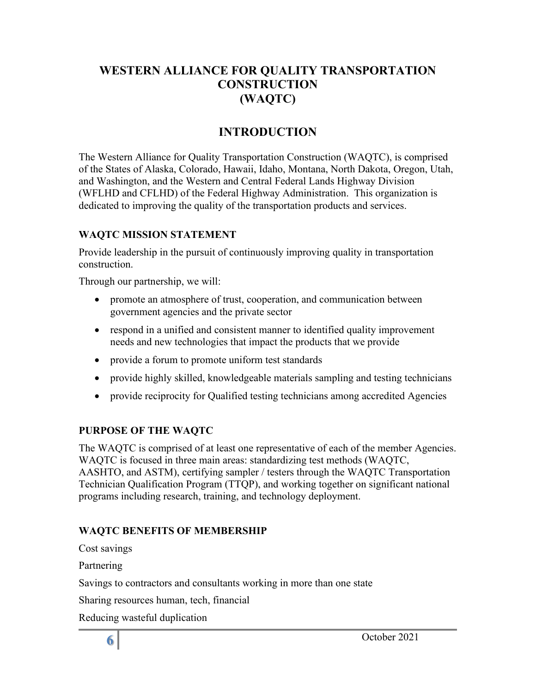## **WESTERN ALLIANCE FOR QUALITY TRANSPORTATION CONSTRUCTION (WAQTC)**

## **INTRODUCTION**

The Western Alliance for Quality Transportation Construction (WAQTC), is comprised of the States of Alaska, Colorado, Hawaii, Idaho, Montana, North Dakota, Oregon, Utah, and Washington, and the Western and Central Federal Lands Highway Division (WFLHD and CFLHD) of the Federal Highway Administration. This organization is dedicated to improving the quality of the transportation products and services.

#### **WAQTC MISSION STATEMENT**

Provide leadership in the pursuit of continuously improving quality in transportation construction.

Through our partnership, we will:

- promote an atmosphere of trust, cooperation, and communication between government agencies and the private sector
- respond in a unified and consistent manner to identified quality improvement needs and new technologies that impact the products that we provide
- provide a forum to promote uniform test standards
- provide highly skilled, knowledgeable materials sampling and testing technicians
- provide reciprocity for Qualified testing technicians among accredited Agencies

#### **PURPOSE OF THE WAQTC**

The WAQTC is comprised of at least one representative of each of the member Agencies. WAQTC is focused in three main areas: standardizing test methods (WAQTC, AASHTO, and ASTM), certifying sampler / testers through the WAQTC Transportation Technician Qualification Program (TTQP), and working together on significant national programs including research, training, and technology deployment.

#### **WAQTC BENEFITS OF MEMBERSHIP**

Cost savings

Partnering

Savings to contractors and consultants working in more than one state

Sharing resources human, tech, financial

Reducing wasteful duplication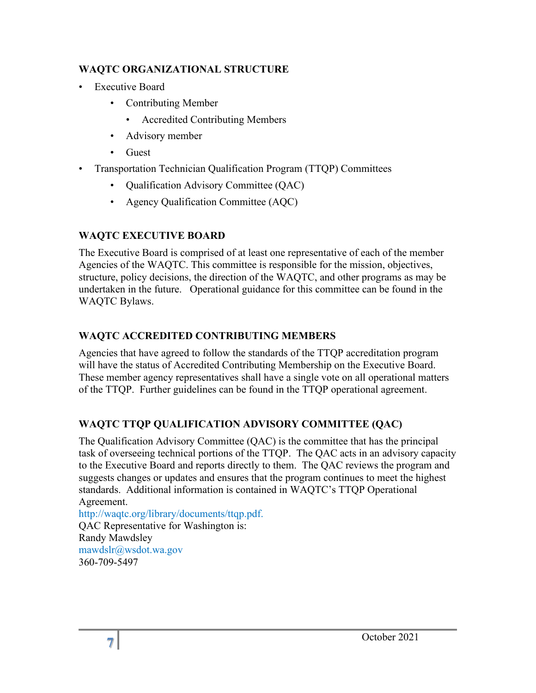### **WAQTC ORGANIZATIONAL STRUCTURE**

- Executive Board
	- Contributing Member
		- Accredited Contributing Members
	- Advisory member
	- Guest
- Transportation Technician Qualification Program (TTQP) Committees
	- Qualification Advisory Committee (QAC)
	- Agency Qualification Committee (AQC)

## **WAQTC EXECUTIVE BOARD**

The Executive Board is comprised of at least one representative of each of the member Agencies of the WAQTC. This committee is responsible for the mission, objectives, structure, policy decisions, the direction of the WAQTC, and other programs as may be undertaken in the future. Operational guidance for this committee can be found in the WAQTC Bylaws.

## **WAQTC ACCREDITED CONTRIBUTING MEMBERS**

Agencies that have agreed to follow the standards of the TTQP accreditation program will have the status of Accredited Contributing Membership on the Executive Board. These member agency representatives shall have a single vote on all operational matters of the TTQP. Further guidelines can be found in the TTQP operational agreement.

## **WAQTC TTQP QUALIFICATION ADVISORY COMMITTEE (QAC)**

The Qualification Advisory Committee (QAC) is the committee that has the principal task of overseeing technical portions of the TTQP. The QAC acts in an advisory capacity to the Executive Board and reports directly to them. The QAC reviews the program and suggests changes or updates and ensures that the program continues to meet the highest standards. Additional information is contained in WAQTC's TTQP Operational Agreement.

[http://waqtc.org/library/documents/ttqp.pdf.](http://waqtc.org/library/documents/ttqp.pdf) QAC Representative for Washington is: Randy Mawdsley [mawdslr@wsdot.wa.gov](mailto:mawdslr@wsdot.wa.gov) 360-709-5497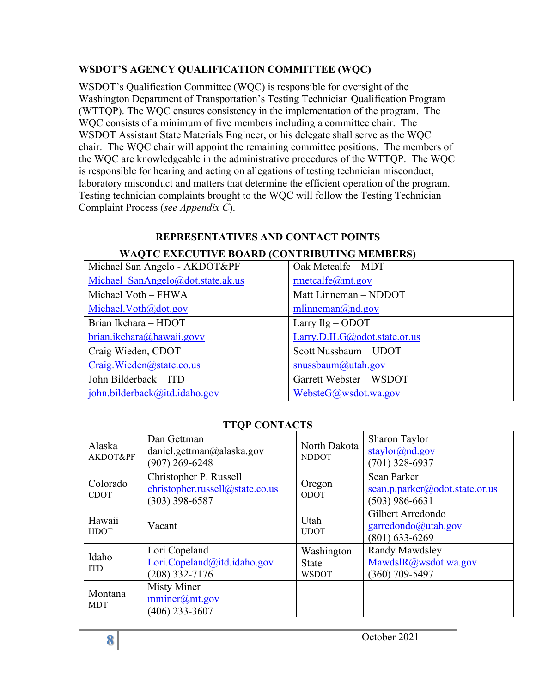## **WSDOT'S AGENCY QUALIFICATION COMMITTEE (WQC)**

WSDOT's Qualification Committee (WQC) is responsible for oversight of the Washington Department of Transportation's Testing Technician Qualification Program (WTTQP). The WQC ensures consistency in the implementation of the program. The WQC consists of a minimum of five members including a committee chair. The WSDOT Assistant State Materials Engineer, or his delegate shall serve as the WQC chair. The WQC chair will appoint the remaining committee positions. The members of the WQC are knowledgeable in the administrative procedures of the WTTQP. The WQC is responsible for hearing and acting on allegations of testing technician misconduct, laboratory misconduct and matters that determine the efficient operation of the program. Testing technician complaints brought to the WQC will follow the Testing Technician Complaint Process (*see Appendix C*).

#### **REPRESENTATIVES AND CONTACT POINTS WAQTC EXECUTIVE BOARD (CONTRIBUTING MEMBERS)**

| Michael San Angelo - AKDOT&PF     | Oak Metcalfe - MDT           |
|-----------------------------------|------------------------------|
| Michael SanAngelo@dot.state.ak.us | rmetcalfe@mt.gov             |
| Michael Voth - FHWA               | Matt Linneman - NDDOT        |
| Michael. Voth@dot.gov             | mlinneman@nd.gov             |
| Brian Ikehara - HDOT              | Larry $Ilg - O$ DOT          |
| brian.ikehara@hawaii.govv         | Larry.D.ILG@odot.state.or.us |
| Craig Wieden, CDOT                | Scott Nussbaum - UDOT        |
| Craig. Wieden@state.co.us         | snussbaum@utah.gov           |
| John Bilderback - ITD             | Garrett Webster - WSDOT      |
| john.bilderback@itd.idaho.gov     | WebsteG@wsdot.wa.gov         |

## **TTQP CONTACTS**

| Alaska<br>AKDOT&PF      | Dan Gettman<br>daniel.gettman@alaska.gov<br>$(907)$ 269-6248                  | North Dakota<br><b>NDDOT</b>               | Sharon Taylor<br>staylor@nd.gov<br>$(701)$ 328-6937               |
|-------------------------|-------------------------------------------------------------------------------|--------------------------------------------|-------------------------------------------------------------------|
| Colorado<br><b>CDOT</b> | Christopher P. Russell<br>christopher.russell@state.co.us<br>$(303)$ 398-6587 | Oregon<br>ODOT                             | Sean Parker<br>sean.p.parker@odot.state.or.us<br>$(503)$ 986-6631 |
| Hawaii<br><b>HDOT</b>   | Vacant                                                                        | Utah<br><b>UDOT</b>                        | Gilbert Arredondo<br>garredondo@utah.gov<br>$(801) 633 - 6269$    |
| Idaho<br><b>ITD</b>     | Lori Copeland<br>Lori.Copeland@itd.idaho.gov<br>$(208)$ 332-7176              | Washington<br><b>State</b><br><b>WSDOT</b> | Randy Mawdsley<br>MawdslR@wsdot.wa.gov<br>$(360)$ 709-5497        |
| Montana<br><b>MDT</b>   | <b>Misty Miner</b><br>$\text{mminer}(a)$ mt.gov<br>$(406)$ 233-3607           |                                            |                                                                   |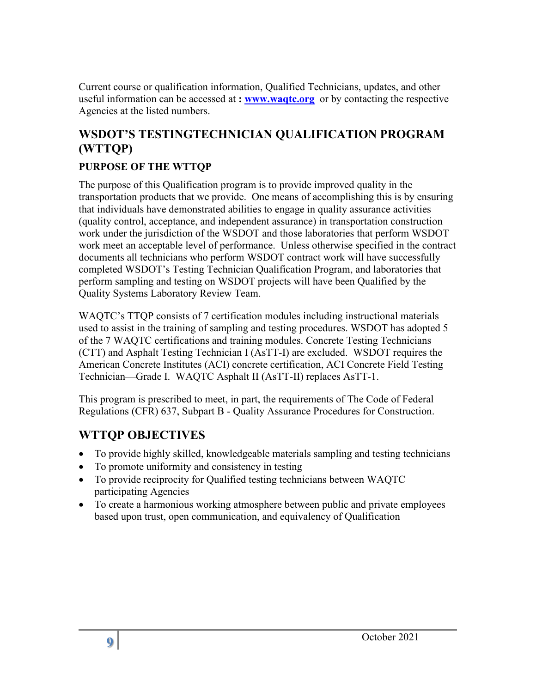Current course or qualification information, Qualified Technicians, updates, and other useful information can be accessed at **: [www.waqtc.org](http://www.waqtc.org/)** or by contacting the respective Agencies at the listed numbers.

# <span id="page-8-0"></span>**WSDOT'S TESTINGTECHNICIAN QUALIFICATION PROGRAM (WTTQP)**

## **PURPOSE OF THE WTTQP**

The purpose of this Qualification program is to provide improved quality in the transportation products that we provide. One means of accomplishing this is by ensuring that individuals have demonstrated abilities to engage in quality assurance activities (quality control, acceptance, and independent assurance) in transportation construction work under the jurisdiction of the WSDOT and those laboratories that perform WSDOT work meet an acceptable level of performance. Unless otherwise specified in the contract documents all technicians who perform WSDOT contract work will have successfully completed WSDOT's Testing Technician Qualification Program, and laboratories that perform sampling and testing on WSDOT projects will have been Qualified by the Quality Systems Laboratory Review Team.

WAQTC's TTQP consists of 7 certification modules including instructional materials used to assist in the training of sampling and testing procedures. WSDOT has adopted 5 of the 7 WAQTC certifications and training modules. Concrete Testing Technicians (CTT) and Asphalt Testing Technician I (AsTT-I) are excluded. WSDOT requires the American Concrete Institutes (ACI) concrete certification, ACI Concrete Field Testing Technician—Grade I. WAQTC Asphalt II (AsTT-II) replaces AsTT-1.

This program is prescribed to meet, in part, the requirements of The Code of Federal Regulations (CFR) 637, Subpart B - Quality Assurance Procedures for Construction.

# <span id="page-8-1"></span>**WTTQP OBJECTIVES**

- To provide highly skilled, knowledgeable materials sampling and testing technicians
- To promote uniformity and consistency in testing
- To provide reciprocity for Qualified testing technicians between WAQTC participating Agencies
- <span id="page-8-2"></span>• To create a harmonious working atmosphere between public and private employees based upon trust, open communication, and equivalency of Qualification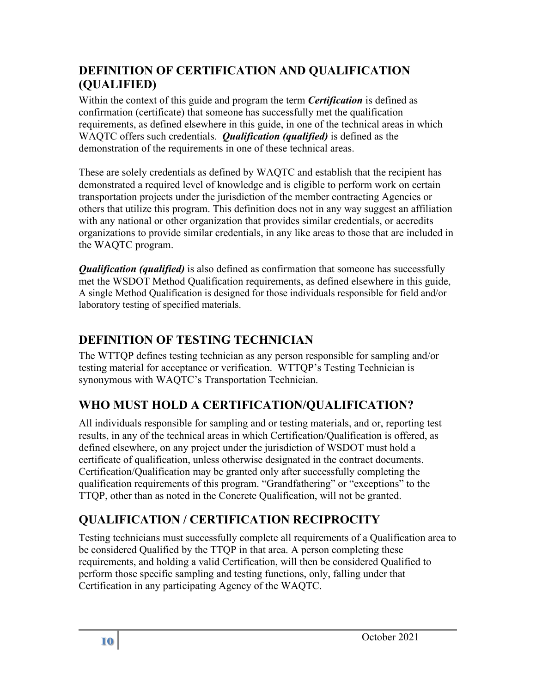# **DEFINITION OF CERTIFICATION AND QUALIFICATION (QUALIFIED)**

Within the context of this guide and program the term *Certification* is defined as confirmation (certificate) that someone has successfully met the qualification requirements, as defined elsewhere in this guide, in one of the technical areas in which WAQTC offers such credentials. *Qualification (qualified)* is defined as the demonstration of the requirements in one of these technical areas.

These are solely credentials as defined by WAQTC and establish that the recipient has demonstrated a required level of knowledge and is eligible to perform work on certain transportation projects under the jurisdiction of the member contracting Agencies or others that utilize this program. This definition does not in any way suggest an affiliation with any national or other organization that provides similar credentials, or accredits organizations to provide similar credentials, in any like areas to those that are included in the WAQTC program.

*Qualification (qualified)* is also defined as confirmation that someone has successfully met the WSDOT Method Qualification requirements, as defined elsewhere in this guide, A single Method Qualification is designed for those individuals responsible for field and/or laboratory testing of specified materials.

# <span id="page-9-0"></span>**DEFINITION OF TESTING TECHNICIAN**

The WTTQP defines testing technician as any person responsible for sampling and/or testing material for acceptance or verification. WTTQP's Testing Technician is synonymous with WAQTC's Transportation Technician.

# <span id="page-9-1"></span>**WHO MUST HOLD A CERTIFICATION/QUALIFICATION?**

All individuals responsible for sampling and or testing materials, and or, reporting test results, in any of the technical areas in which Certification/Qualification is offered, as defined elsewhere, on any project under the jurisdiction of WSDOT must hold a certificate of qualification, unless otherwise designated in the contract documents. Certification/Qualification may be granted only after successfully completing the qualification requirements of this program. "Grandfathering" or "exceptions" to the TTQP, other than as noted in the Concrete Qualification, will not be granted.

# <span id="page-9-2"></span>**QUALIFICATION / CERTIFICATION RECIPROCITY**

Testing technicians must successfully complete all requirements of a Qualification area to be considered Qualified by the TTQP in that area. A person completing these requirements, and holding a valid Certification, will then be considered Qualified to perform those specific sampling and testing functions, only, falling under that Certification in any participating Agency of the WAQTC.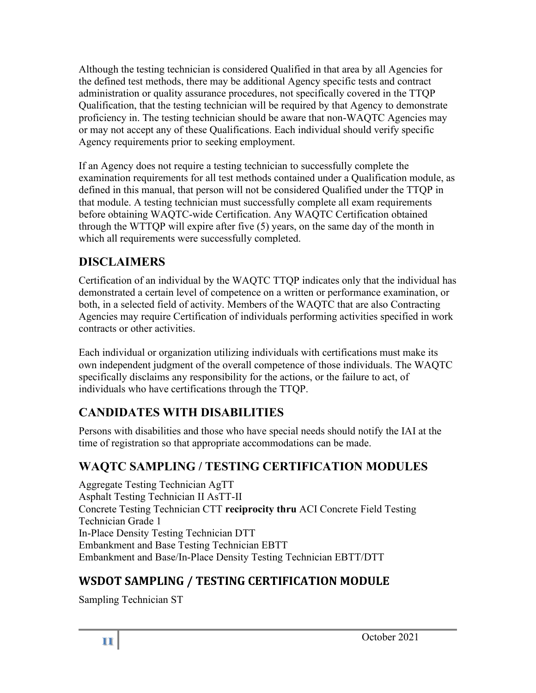Although the testing technician is considered Qualified in that area by all Agencies for the defined test methods, there may be additional Agency specific tests and contract administration or quality assurance procedures, not specifically covered in the TTQP Qualification, that the testing technician will be required by that Agency to demonstrate proficiency in. The testing technician should be aware that non-WAQTC Agencies may or may not accept any of these Qualifications. Each individual should verify specific Agency requirements prior to seeking employment.

If an Agency does not require a testing technician to successfully complete the examination requirements for all test methods contained under a Qualification module, as defined in this manual, that person will not be considered Qualified under the TTQP in that module. A testing technician must successfully complete all exam requirements before obtaining WAQTC-wide Certification. Any WAQTC Certification obtained through the WTTQP will expire after five (5) years, on the same day of the month in which all requirements were successfully completed.

# <span id="page-10-0"></span>**DISCLAIMERS**

Certification of an individual by the WAQTC TTQP indicates only that the individual has demonstrated a certain level of competence on a written or performance examination, or both, in a selected field of activity. Members of the WAQTC that are also Contracting Agencies may require Certification of individuals performing activities specified in work contracts or other activities.

Each individual or organization utilizing individuals with certifications must make its own independent judgment of the overall competence of those individuals. The WAQTC specifically disclaims any responsibility for the actions, or the failure to act, of individuals who have certifications through the TTQP.

# <span id="page-10-1"></span>**CANDIDATES WITH DISABILITIES**

Persons with disabilities and those who have special needs should notify the IAI at the time of registration so that appropriate accommodations can be made.

# <span id="page-10-2"></span>**WAQTC SAMPLING / TESTING CERTIFICATION MODULES**

Aggregate Testing Technician AgTT Asphalt Testing Technician II AsTT-II Concrete Testing Technician CTT **reciprocity thru** ACI Concrete Field Testing Technician Grade 1 In-Place Density Testing Technician DTT Embankment and Base Testing Technician EBTT Embankment and Base/In-Place Density Testing Technician EBTT/DTT

# **WSDOT SAMPLING / TESTING CERTIFICATION MODULE**

Sampling Technician ST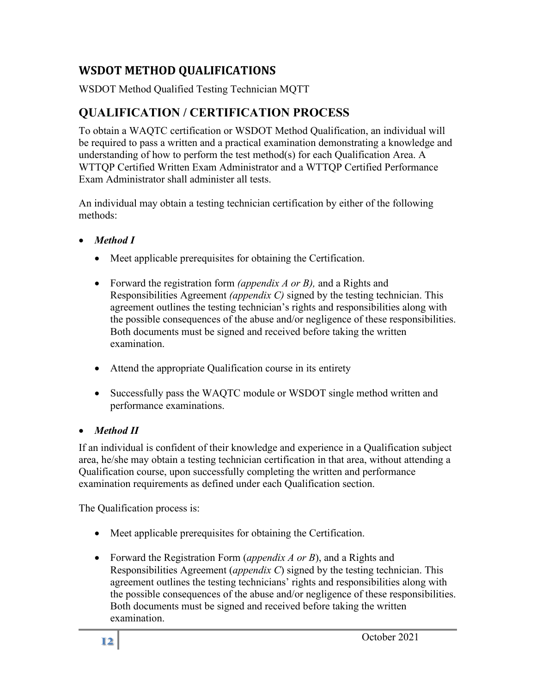# **WSDOT METHOD QUALIFICATIONS**

WSDOT Method Qualified Testing Technician MQTT

# <span id="page-11-0"></span>**QUALIFICATION / CERTIFICATION PROCESS**

To obtain a WAQTC certification or WSDOT Method Qualification, an individual will be required to pass a written and a practical examination demonstrating a knowledge and understanding of how to perform the test method(s) for each Qualification Area. A WTTQP Certified Written Exam Administrator and a WTTQP Certified Performance Exam Administrator shall administer all tests.

An individual may obtain a testing technician certification by either of the following methods:

- *Method I*
	- Meet applicable prerequisites for obtaining the Certification.
	- Forward the registration form *(appendix A or B),* and a Rights and Responsibilities Agreement *(appendix C)* signed by the testing technician. This agreement outlines the testing technician's rights and responsibilities along with the possible consequences of the abuse and/or negligence of these responsibilities. Both documents must be signed and received before taking the written examination.
	- Attend the appropriate Qualification course in its entirety
	- Successfully pass the WAQTC module or WSDOT single method written and performance examinations.

## • *Method II*

If an individual is confident of their knowledge and experience in a Qualification subject area, he/she may obtain a testing technician certification in that area, without attending a Qualification course, upon successfully completing the written and performance examination requirements as defined under each Qualification section.

The Qualification process is:

- Meet applicable prerequisites for obtaining the Certification.
- Forward the Registration Form (*appendix A or B*), and a Rights and Responsibilities Agreement (*appendix C*) signed by the testing technician. This agreement outlines the testing technicians' rights and responsibilities along with the possible consequences of the abuse and/or negligence of these responsibilities. Both documents must be signed and received before taking the written examination.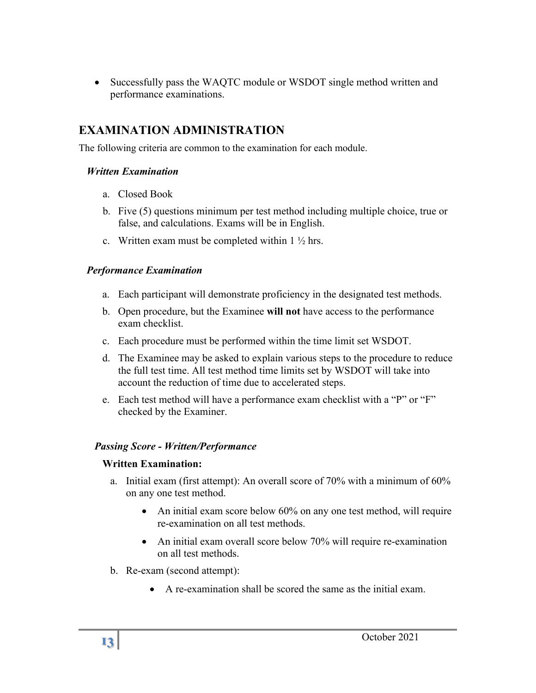• Successfully pass the WAQTC module or WSDOT single method written and performance examinations.

# <span id="page-12-0"></span>**EXAMINATION ADMINISTRATION**

The following criteria are common to the examination for each module.

#### *Written Examination*

- a. Closed Book
- b. Five (5) questions minimum per test method including multiple choice, true or false, and calculations. Exams will be in English.
- c. Written exam must be completed within  $1 \frac{1}{2}$  hrs.

## *Performance Examination*

- a. Each participant will demonstrate proficiency in the designated test methods.
- b. Open procedure, but the Examinee **will not** have access to the performance exam checklist.
- c. Each procedure must be performed within the time limit set WSDOT.
- d. The Examinee may be asked to explain various steps to the procedure to reduce the full test time. All test method time limits set by WSDOT will take into account the reduction of time due to accelerated steps.
- e. Each test method will have a performance exam checklist with a "P" or "F" checked by the Examiner.

## *Passing Score - Written/Performance*

## **Written Examination:**

- a. Initial exam (first attempt): An overall score of 70% with a minimum of 60% on any one test method.
	- An initial exam score below 60% on any one test method, will require re-examination on all test methods.
	- An initial exam overall score below 70% will require re-examination on all test methods.
- b. Re-exam (second attempt):
	- A re-examination shall be scored the same as the initial exam.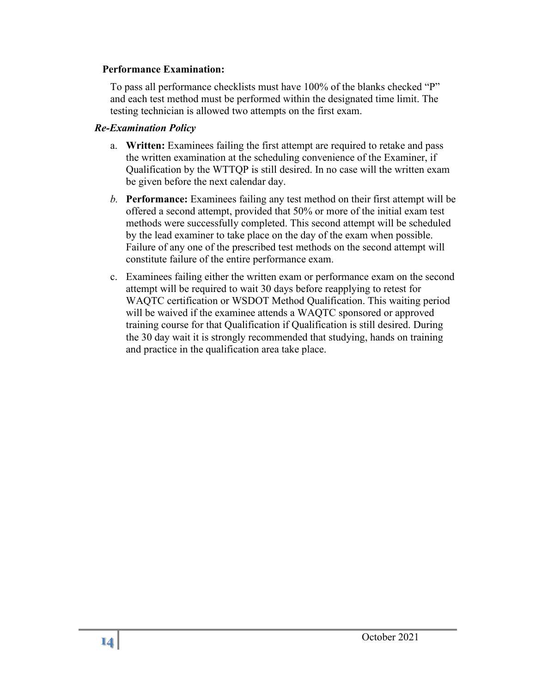#### **Performance Examination:**

To pass all performance checklists must have 100% of the blanks checked "P" and each test method must be performed within the designated time limit. The testing technician is allowed two attempts on the first exam.

#### *Re-Examination Policy*

- a. **Written:** Examinees failing the first attempt are required to retake and pass the written examination at the scheduling convenience of the Examiner, if Qualification by the WTTQP is still desired. In no case will the written exam be given before the next calendar day.
- *b.* **Performance:** Examinees failing any test method on their first attempt will be offered a second attempt, provided that 50% or more of the initial exam test methods were successfully completed. This second attempt will be scheduled by the lead examiner to take place on the day of the exam when possible. Failure of any one of the prescribed test methods on the second attempt will constitute failure of the entire performance exam.
- c. Examinees failing either the written exam or performance exam on the second attempt will be required to wait 30 days before reapplying to retest for WAQTC certification or WSDOT Method Qualification. This waiting period will be waived if the examinee attends a WAQTC sponsored or approved training course for that Qualification if Qualification is still desired. During the 30 day wait it is strongly recommended that studying, hands on training and practice in the qualification area take place.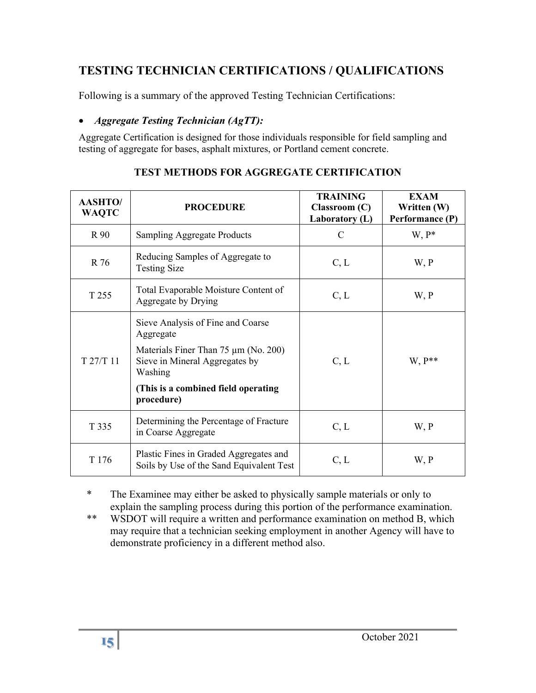## <span id="page-14-0"></span>**TESTING TECHNICIAN CERTIFICATIONS / QUALIFICATIONS**

Following is a summary of the approved Testing Technician Certifications:

## • *Aggregate Testing Technician (AgTT):*

Aggregate Certification is designed for those individuals responsible for field sampling and testing of aggregate for bases, asphalt mixtures, or Portland cement concrete.

| <b>AASHTO/</b><br><b>WAQTC</b> | <b>PROCEDURE</b>                                                                                                                                                                         | <b>TRAINING</b><br>$\mathbf{Classroom}\left(\mathbf{C}\right)$<br>Laboratory (L) | <b>EXAM</b><br>Written (W)<br>Performance (P) |
|--------------------------------|------------------------------------------------------------------------------------------------------------------------------------------------------------------------------------------|----------------------------------------------------------------------------------|-----------------------------------------------|
| R 90                           | <b>Sampling Aggregate Products</b>                                                                                                                                                       | C                                                                                | $W, P^*$                                      |
| R 76                           | Reducing Samples of Aggregate to<br><b>Testing Size</b>                                                                                                                                  | C, L                                                                             | W, P                                          |
| T 255                          | Total Evaporable Moisture Content of<br>Aggregate by Drying                                                                                                                              | C, L                                                                             | W, P                                          |
| T 27/T 11                      | Sieve Analysis of Fine and Coarse<br>Aggregate<br>Materials Finer Than 75 µm (No. 200)<br>Sieve in Mineral Aggregates by<br>Washing<br>(This is a combined field operating<br>procedure) | C, L                                                                             | $W, P^{**}$                                   |
| T 335                          | Determining the Percentage of Fracture<br>in Coarse Aggregate                                                                                                                            | C, L                                                                             | W, P                                          |
| T 176                          | Plastic Fines in Graded Aggregates and<br>Soils by Use of the Sand Equivalent Test                                                                                                       | C, L                                                                             | W, P                                          |

## **TEST METHODS FOR AGGREGATE CERTIFICATION**

\* The Examinee may either be asked to physically sample materials or only to explain the sampling process during this portion of the performance examination.

\*\* WSDOT will require a written and performance examination on method B, which may require that a technician seeking employment in another Agency will have to demonstrate proficiency in a different method also.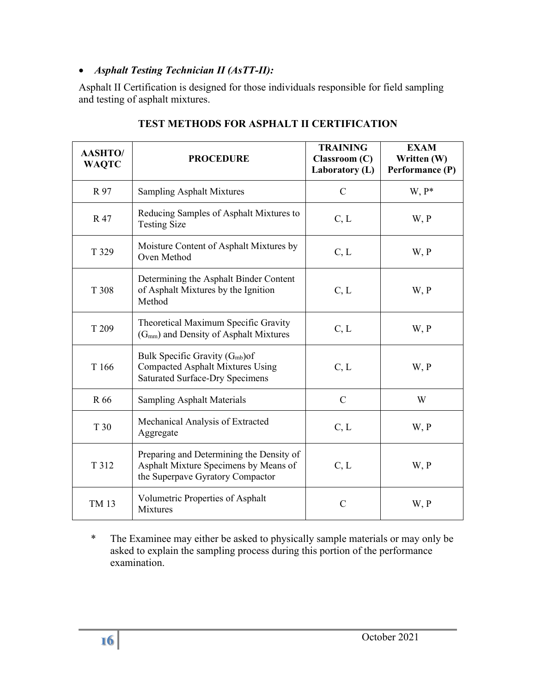## • *Asphalt Testing Technician II (AsTT-II):*

Asphalt II Certification is designed for those individuals responsible for field sampling and testing of asphalt mixtures.

| <b>AASHTO/</b><br><b>WAQTC</b> | <b>PROCEDURE</b>                                                                                                                | <b>TRAINING</b><br>Classroom (C)<br>Laboratory (L) | <b>EXAM</b><br>Written (W)<br>Performance (P) |
|--------------------------------|---------------------------------------------------------------------------------------------------------------------------------|----------------------------------------------------|-----------------------------------------------|
| R 97                           | <b>Sampling Asphalt Mixtures</b>                                                                                                | $\mathbf C$                                        | $W, P^*$                                      |
| R 47                           | Reducing Samples of Asphalt Mixtures to<br><b>Testing Size</b>                                                                  | C, L                                               | W, P                                          |
| T 329                          | Moisture Content of Asphalt Mixtures by<br>Oven Method                                                                          | C, L                                               | W, P                                          |
| T 308                          | Determining the Asphalt Binder Content<br>of Asphalt Mixtures by the Ignition<br>Method                                         | C, L                                               | W, P                                          |
| T 209                          | Theoretical Maximum Specific Gravity<br>(G <sub>mm</sub> ) and Density of Asphalt Mixtures                                      | C, L                                               | W, P                                          |
| T 166                          | Bulk Specific Gravity (G <sub>mb</sub> )of<br><b>Compacted Asphalt Mixtures Using</b><br><b>Saturated Surface-Dry Specimens</b> | C, L                                               | W, P                                          |
| R 66                           | <b>Sampling Asphalt Materials</b>                                                                                               | $\mathbf C$                                        | W                                             |
| T 30                           | Mechanical Analysis of Extracted<br>Aggregate                                                                                   | C, L                                               | W, P                                          |
| T 312                          | Preparing and Determining the Density of<br>Asphalt Mixture Specimens by Means of<br>the Superpave Gyratory Compactor           | C, L                                               | W, P                                          |
| TM 13                          | Volumetric Properties of Asphalt<br><b>Mixtures</b>                                                                             | $\mathcal{C}$                                      | W, P                                          |

### **TEST METHODS FOR ASPHALT II CERTIFICATION**

\* The Examinee may either be asked to physically sample materials or may only be asked to explain the sampling process during this portion of the performance examination.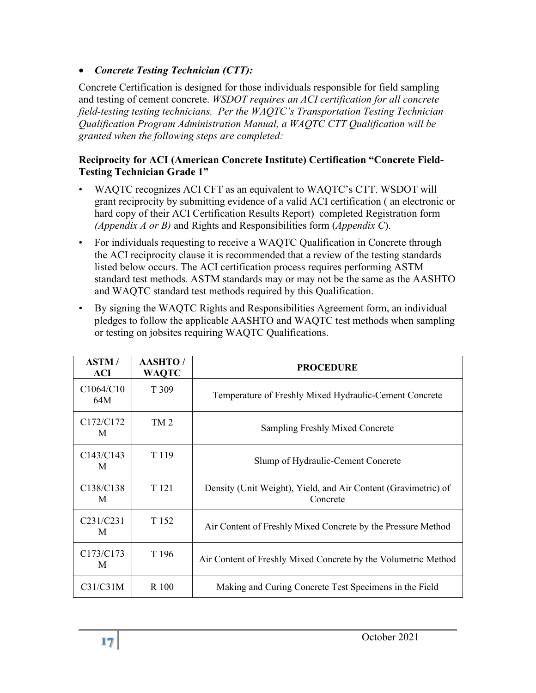• *Concrete Testing Technician (CTT):*

Concrete Certification is designed for those individuals responsible for field sampling and testing of cement concrete. *WSDOT requires an ACI certification for all concrete field-testing testing technicians. Per the WAQTC's Transportation Testing Technician Qualification Program Administration Manual, a WAQTC CTT Qualification will be granted when the following steps are completed:*

#### **Reciprocity for ACI (American Concrete Institute) Certification "Concrete Field-Testing Technician Grade 1"**

- WAQTC recognizes ACI CFT as an equivalent to WAQTC's CTT. WSDOT will grant reciprocity by submitting evidence of a valid ACI certification ( an electronic or hard copy of their ACI Certification Results Report) completed Registration form *(Appendix A or B)* and Rights and Responsibilities form (*Appendix C*).
- For individuals requesting to receive a WAQTC Qualification in Concrete through the ACI reciprocity clause it is recommended that a review of the testing standards listed below occurs. The ACI certification process requires performing ASTM standard test methods. ASTM standards may or may not be the same as the AASHTO and WAQTC standard test methods required by this Qualification.
- By signing the WAQTC Rights and Responsibilities Agreement form, an individual pledges to follow the applicable AASHTO and WAQTC test methods when sampling or testing on jobsites requiring WAQTC Qualifications.

| <b>ASTM</b> /<br><b>ACI</b>             | <b>AASHTO</b> /<br><b>WAQTC</b> | <b>PROCEDURE</b>                                                           |  |
|-----------------------------------------|---------------------------------|----------------------------------------------------------------------------|--|
| C1064/C10<br>64M                        | T 309                           | Temperature of Freshly Mixed Hydraulic-Cement Concrete                     |  |
| C <sub>172</sub> /C <sub>172</sub><br>M | TM <sub>2</sub>                 | <b>Sampling Freshly Mixed Concrete</b>                                     |  |
| C143/C143<br>M                          | T <sub>119</sub>                | Slump of Hydraulic-Cement Concrete                                         |  |
| C <sub>138</sub> /C <sub>138</sub><br>M | T 121                           | Density (Unit Weight), Yield, and Air Content (Gravimetric) of<br>Concrete |  |
| C231/C231<br>M                          | T 152                           | Air Content of Freshly Mixed Concrete by the Pressure Method               |  |
| C173/C173<br>M                          | T 196                           | Air Content of Freshly Mixed Concrete by the Volumetric Method             |  |
| C31/C31M                                | R 100                           | Making and Curing Concrete Test Specimens in the Field                     |  |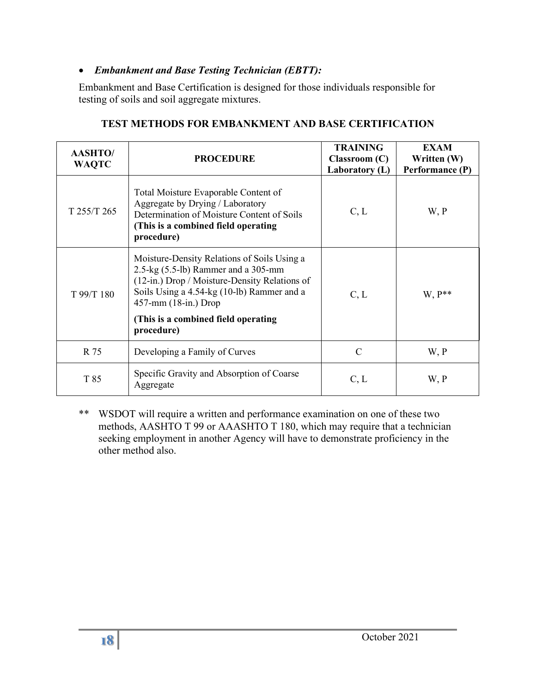#### • *Embankment and Base Testing Technician (EBTT):*

Embankment and Base Certification is designed for those individuals responsible for testing of soils and soil aggregate mixtures.

| <b>AASHTO/</b><br><b>WAQTC</b> | <b>PROCEDURE</b>                                                                                                                                                                                                                                                     | <b>TRAINING</b><br>$\mathbf{Classroom}(\mathbf{C})$<br>Laboratory (L) | <b>EXAM</b><br>Written (W)<br>Performance (P) |
|--------------------------------|----------------------------------------------------------------------------------------------------------------------------------------------------------------------------------------------------------------------------------------------------------------------|-----------------------------------------------------------------------|-----------------------------------------------|
| T 255/T 265                    | Total Moisture Evaporable Content of<br>Aggregate by Drying / Laboratory<br>Determination of Moisture Content of Soils<br>(This is a combined field operating<br>procedure)                                                                                          | C, L                                                                  | W, P                                          |
| T 99/T 180                     | Moisture-Density Relations of Soils Using a<br>$2.5$ -kg $(5.5$ -lb) Rammer and a 305-mm<br>(12-in.) Drop / Moisture-Density Relations of<br>Soils Using a 4.54-kg (10-lb) Rammer and a<br>457-mm (18-in.) Drop<br>(This is a combined field operating<br>procedure) | C, L                                                                  | $W, P^{**}$                                   |
| R 75                           | Developing a Family of Curves                                                                                                                                                                                                                                        | $\mathcal{C}$                                                         | W, P                                          |
| T 85                           | Specific Gravity and Absorption of Coarse<br>Aggregate                                                                                                                                                                                                               | C, L                                                                  | W, P                                          |

#### **TEST METHODS FOR EMBANKMENT AND BASE CERTIFICATION**

\*\* WSDOT will require a written and performance examination on one of these two methods, AASHTO T 99 or AAASHTO T 180, which may require that a technician seeking employment in another Agency will have to demonstrate proficiency in the other method also.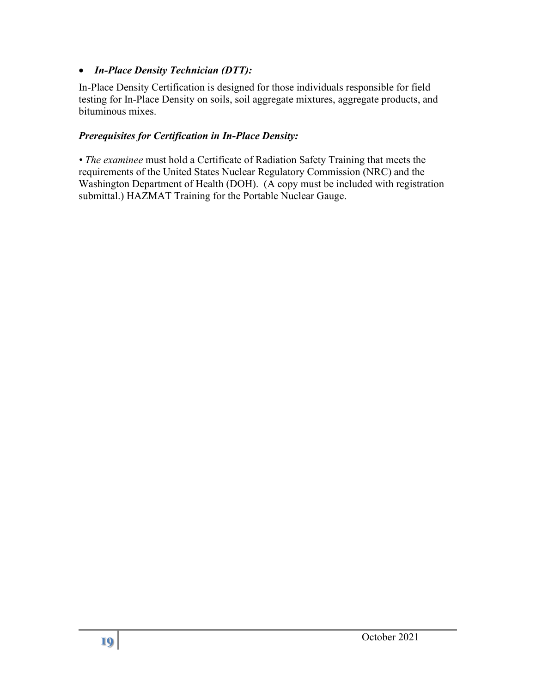#### • *In-Place Density Technician (DTT):*

In-Place Density Certification is designed for those individuals responsible for field testing for In-Place Density on soils, soil aggregate mixtures, aggregate products, and bituminous mixes.

#### *Prerequisites for Certification in In-Place Density:*

*• The examinee* must hold a Certificate of Radiation Safety Training that meets the requirements of the United States Nuclear Regulatory Commission (NRC) and the Washington Department of Health (DOH). (A copy must be included with registration submittal.) HAZMAT Training for the Portable Nuclear Gauge.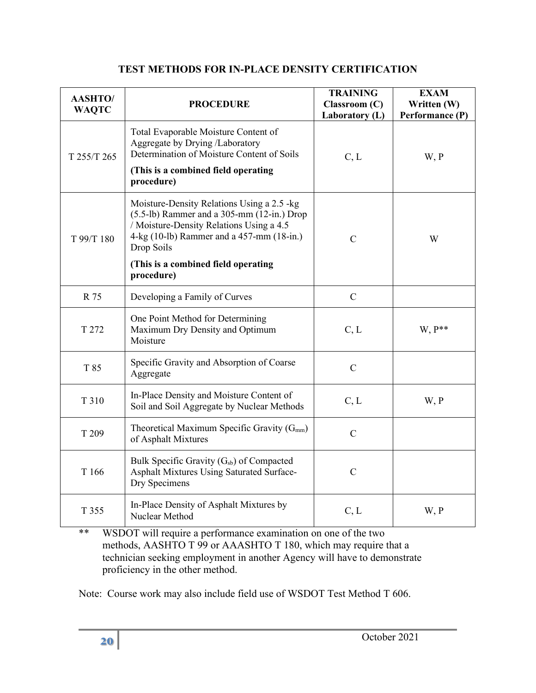#### **TEST METHODS FOR IN-PLACE DENSITY CERTIFICATION**

| <b>AASHTO/</b><br><b>WAQTC</b> | <b>PROCEDURE</b>                                                                                                                                                                                                                           | <b>TRAINING</b><br>Classroom (C)<br>Laboratory (L) | <b>EXAM</b><br>Written (W)<br>Performance (P) |
|--------------------------------|--------------------------------------------------------------------------------------------------------------------------------------------------------------------------------------------------------------------------------------------|----------------------------------------------------|-----------------------------------------------|
| T 255/T 265                    | Total Evaporable Moisture Content of<br>Aggregate by Drying /Laboratory<br>Determination of Moisture Content of Soils<br>(This is a combined field operating<br>procedure)                                                                 | C, L                                               | W, P                                          |
| T 99/T 180                     | Moisture-Density Relations Using a 2.5 -kg<br>$(5.5-lb)$ Rammer and a 305-mm $(12-in.)$ Drop<br>/ Moisture-Density Relations Using a 4.5<br>4-kg (10-lb) Rammer and a 457-mm (18-in.)<br>Drop Soils<br>(This is a combined field operating | $\mathcal{C}$                                      | W                                             |
|                                | procedure)                                                                                                                                                                                                                                 |                                                    |                                               |
| R 75                           | Developing a Family of Curves                                                                                                                                                                                                              | $\mathcal{C}$                                      |                                               |
| T 272                          | One Point Method for Determining<br>Maximum Dry Density and Optimum<br>Moisture                                                                                                                                                            | C, L                                               | $W, P^{**}$                                   |
| T 85                           | Specific Gravity and Absorption of Coarse<br>Aggregate                                                                                                                                                                                     | $\overline{C}$                                     |                                               |
| T 310                          | In-Place Density and Moisture Content of<br>Soil and Soil Aggregate by Nuclear Methods                                                                                                                                                     | C, L                                               | W, P                                          |
| T 209                          | Theoretical Maximum Specific Gravity $(G_{mm})$<br>of Asphalt Mixtures                                                                                                                                                                     | $\overline{C}$                                     |                                               |
| T 166                          | Bulk Specific Gravity (G <sub>sb</sub> ) of Compacted<br>Asphalt Mixtures Using Saturated Surface-<br>Dry Specimens                                                                                                                        | $\mathcal{C}$                                      |                                               |
| T 355                          | In-Place Density of Asphalt Mixtures by<br>Nuclear Method                                                                                                                                                                                  | C, L                                               | W, P                                          |

\*\* WSDOT will require a performance examination on one of the two methods, AASHTO T 99 or AAASHTO T 180, which may require that a technician seeking employment in another Agency will have to demonstrate proficiency in the other method.

Note: Course work may also include field use of WSDOT Test Method T 606.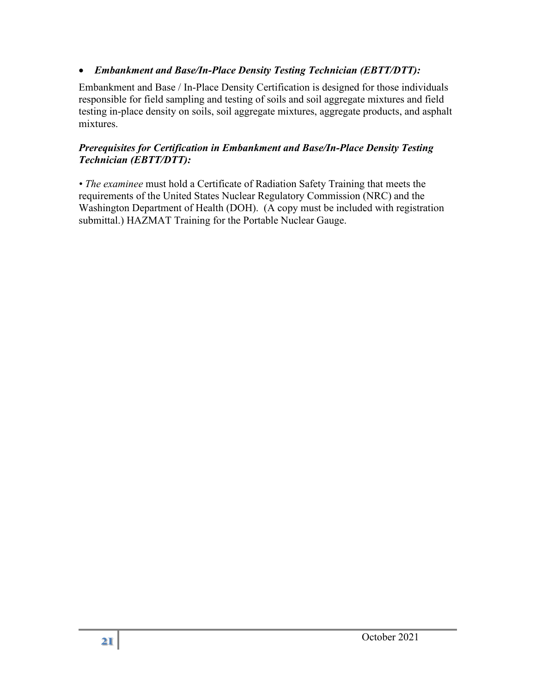#### • *Embankment and Base/In-Place Density Testing Technician (EBTT/DTT):*

Embankment and Base / In-Place Density Certification is designed for those individuals responsible for field sampling and testing of soils and soil aggregate mixtures and field testing in-place density on soils, soil aggregate mixtures, aggregate products, and asphalt mixtures.

#### *Prerequisites for Certification in Embankment and Base/In-Place Density Testing Technician (EBTT/DTT):*

*• The examinee* must hold a Certificate of Radiation Safety Training that meets the requirements of the United States Nuclear Regulatory Commission (NRC) and the Washington Department of Health (DOH). (A copy must be included with registration submittal.) HAZMAT Training for the Portable Nuclear Gauge.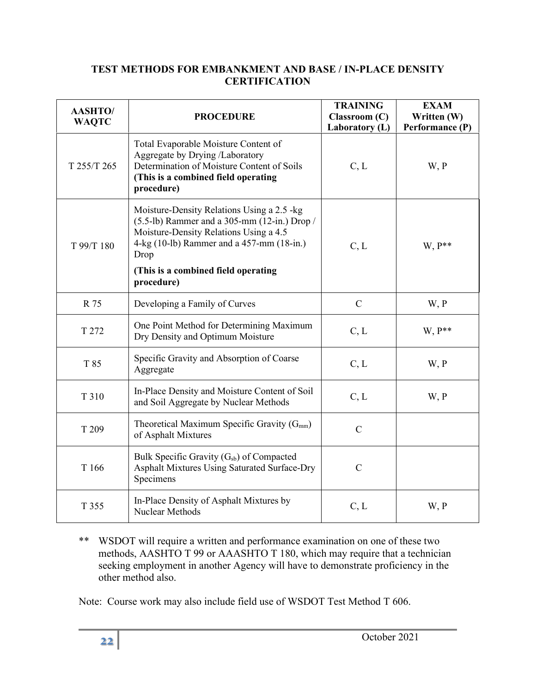#### **TEST METHODS FOR EMBANKMENT AND BASE / IN-PLACE DENSITY CERTIFICATION**

| <b>AASHTO/</b><br><b>WAQTC</b> | <b>PROCEDURE</b>                                                                                                                                                                                                                                 | <b>TRAINING</b><br>Classroom (C)<br>Laboratory (L) | <b>EXAM</b><br>Written (W)<br>Performance (P) |
|--------------------------------|--------------------------------------------------------------------------------------------------------------------------------------------------------------------------------------------------------------------------------------------------|----------------------------------------------------|-----------------------------------------------|
| T 255/T 265                    | Total Evaporable Moisture Content of<br>Aggregate by Drying /Laboratory<br>Determination of Moisture Content of Soils<br>(This is a combined field operating<br>procedure)                                                                       | C, L                                               | W, P                                          |
| T 99/T 180                     | Moisture-Density Relations Using a 2.5 -kg<br>$(5.5-lb)$ Rammer and a 305-mm (12-in.) Drop /<br>Moisture-Density Relations Using a 4.5<br>4-kg (10-lb) Rammer and a 457-mm (18-in.)<br>Drop<br>(This is a combined field operating<br>procedure) | C, L                                               | $W, P^{**}$                                   |
| R 75                           | Developing a Family of Curves                                                                                                                                                                                                                    | $\mathbf C$                                        | W, P                                          |
| T 272                          | One Point Method for Determining Maximum<br>Dry Density and Optimum Moisture                                                                                                                                                                     | C, L                                               | W. P**                                        |
| T 85                           | Specific Gravity and Absorption of Coarse<br>Aggregate                                                                                                                                                                                           | C, L                                               | W, P                                          |
| T 310                          | In-Place Density and Moisture Content of Soil<br>and Soil Aggregate by Nuclear Methods                                                                                                                                                           | C, L                                               | W, P                                          |
| T 209                          | Theoretical Maximum Specific Gravity $(G_{mm})$<br>of Asphalt Mixtures                                                                                                                                                                           | $\mathcal{C}$                                      |                                               |
| T 166                          | Bulk Specific Gravity (G <sub>sb</sub> ) of Compacted<br>Asphalt Mixtures Using Saturated Surface-Dry<br>Specimens                                                                                                                               | $\mathbf C$                                        |                                               |
| T 355                          | In-Place Density of Asphalt Mixtures by<br>Nuclear Methods                                                                                                                                                                                       | C, L                                               | W, P                                          |

\*\* WSDOT will require a written and performance examination on one of these two methods, AASHTO T 99 or AAASHTO T 180, which may require that a technician seeking employment in another Agency will have to demonstrate proficiency in the other method also.

Note: Course work may also include field use of WSDOT Test Method T 606.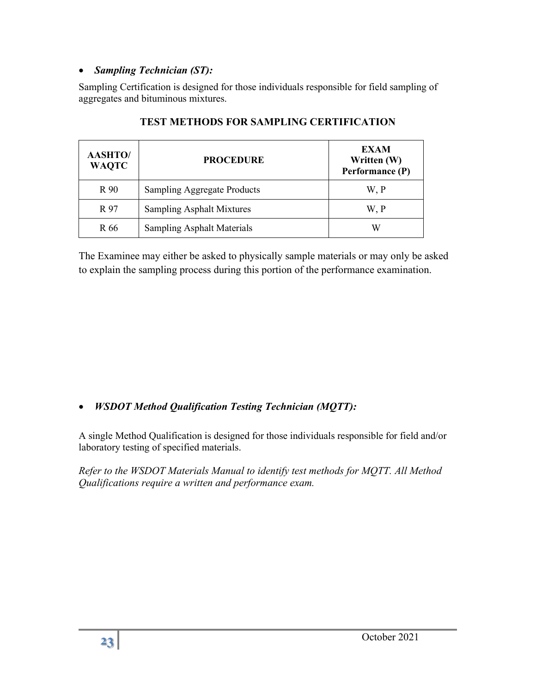#### • *Sampling Technician (ST):*

Sampling Certification is designed for those individuals responsible for field sampling of aggregates and bituminous mixtures.

| <b>AASHTO/</b><br><b>WAQTC</b> | <b>PROCEDURE</b>                   | <b>EXAM</b><br>Written (W)<br>Performance (P) |
|--------------------------------|------------------------------------|-----------------------------------------------|
| R 90                           | <b>Sampling Aggregate Products</b> | W, P                                          |
| R 97                           | Sampling Asphalt Mixtures          | W, P                                          |
| R 66                           | <b>Sampling Asphalt Materials</b>  | W                                             |

#### **TEST METHODS FOR SAMPLING CERTIFICATION**

The Examinee may either be asked to physically sample materials or may only be asked to explain the sampling process during this portion of the performance examination.

## • *WSDOT Method Qualification Testing Technician (MQTT):*

A single Method Qualification is designed for those individuals responsible for field and/or laboratory testing of specified materials.

*Refer to the WSDOT Materials Manual to identify test methods for MQTT. All Method Qualifications require a written and performance exam.*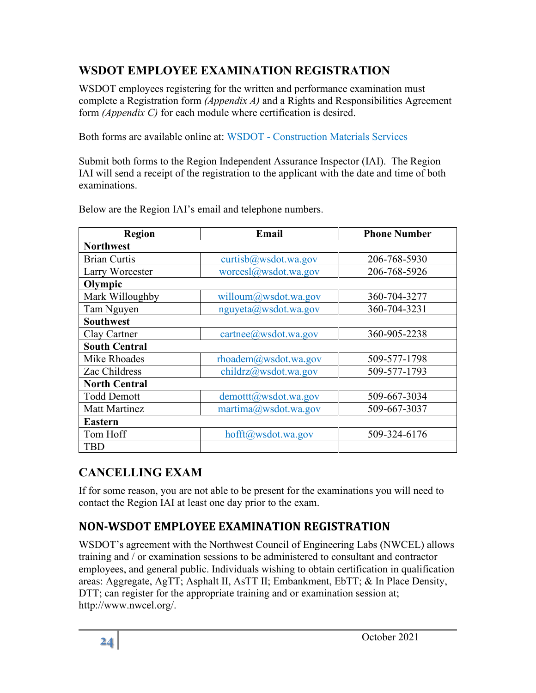# <span id="page-23-0"></span>**WSDOT EMPLOYEE EXAMINATION REGISTRATION**

WSDOT employees registering for the written and performance examination must complete a Registration form *(Appendix A)* and a Rights and Responsibilities Agreement form *(Appendix C)* for each module where certification is desired.

Both forms are available online at: WSDOT - [Construction Materials Services](https://www.wsdot.wa.gov/Business/MaterialsLab/ConstructionMaterials.htm)

Submit both forms to the Region Independent Assurance Inspector (IAI). The Region IAI will send a receipt of the registration to the applicant with the date and time of both examinations.

| <b>Region</b>        | Email                    | <b>Phone Number</b> |
|----------------------|--------------------------|---------------------|
| <b>Northwest</b>     |                          |                     |
| <b>Brian Curtis</b>  | curtisb $@$ wsdot.wa.gov | 206-768-5930        |
| Larry Worcester      | worcesl@wsdot.wa.gov     | 206-768-5926        |
| Olympic              |                          |                     |
| Mark Willoughby      | willoum@wsdot.wa.gov     | 360-704-3277        |
| Tam Nguyen           | nguyeta@wsdot.wa.gov     | 360-704-3231        |
| <b>Southwest</b>     |                          |                     |
| Clay Cartner         | cartnee@wsdot.wa.gov     | 360-905-2238        |
| <b>South Central</b> |                          |                     |
| Mike Rhoades         | rhoadem@wsdot.wa.gov     | 509-577-1798        |
| Zac Childress        | childrz@wsdot.wa.gov     | 509-577-1793        |
| <b>North Central</b> |                          |                     |
| <b>Todd Demott</b>   | demottt@wsdot.wa.gov     | 509-667-3034        |
| <b>Matt Martinez</b> | martima@wsdot.wa.gov     | 509-667-3037        |
| <b>Eastern</b>       |                          |                     |
| Tom Hoff             | hofft@wsdot.wa.gov       | 509-324-6176        |
| <b>TBD</b>           |                          |                     |

Below are the Region IAI's email and telephone numbers.

# <span id="page-23-1"></span>**CANCELLING EXAM**

If for some reason, you are not able to be present for the examinations you will need to contact the Region IAI at least one day prior to the exam.

# <span id="page-23-2"></span>**NON-WSDOT EMPLOYEE EXAMINATION REGISTRATION**

WSDOT's agreement with the Northwest Council of Engineering Labs (NWCEL) allows training and / or examination sessions to be administered to consultant and contractor employees, and general public. Individuals wishing to obtain certification in qualification areas: Aggregate, AgTT; Asphalt II, AsTT II; Embankment, EbTT; & In Place Density, DTT; can register for the appropriate training and or examination session at; http://www.nwcel.org/.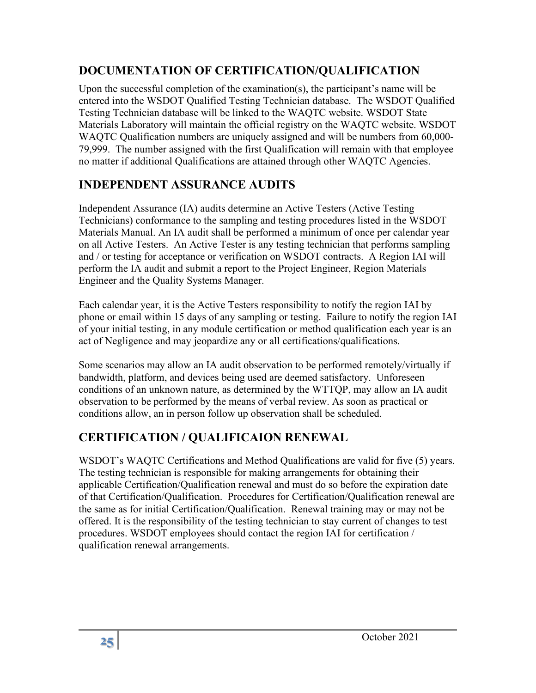## **DOCUMENTATION OF CERTIFICATION/QUALIFICATION**

Upon the successful completion of the examination(s), the participant's name will be entered into the WSDOT Qualified Testing Technician database. The WSDOT Qualified Testing Technician database will be linked to the WAQTC website. WSDOT State Materials Laboratory will maintain the official registry on the WAQTC website. WSDOT WAQTC Qualification numbers are uniquely assigned and will be numbers from 60,000- 79,999. The number assigned with the first Qualification will remain with that employee no matter if additional Qualifications are attained through other WAQTC Agencies.

## <span id="page-24-0"></span>**INDEPENDENT ASSURANCE AUDITS**

Independent Assurance (IA) audits determine an Active Testers (Active Testing Technicians) conformance to the sampling and testing procedures listed in the WSDOT Materials Manual. An IA audit shall be performed a minimum of once per calendar year on all Active Testers. An Active Tester is any testing technician that performs sampling and / or testing for acceptance or verification on WSDOT contracts. A Region IAI will perform the IA audit and submit a report to the Project Engineer, Region Materials Engineer and the Quality Systems Manager.

Each calendar year, it is the Active Testers responsibility to notify the region IAI by phone or email within 15 days of any sampling or testing. Failure to notify the region IAI of your initial testing, in any module certification or method qualification each year is an act of Negligence and may jeopardize any or all certifications/qualifications.

Some scenarios may allow an IA audit observation to be performed remotely/virtually if bandwidth, platform, and devices being used are deemed satisfactory. Unforeseen conditions of an unknown nature, as determined by the WTTQP, may allow an IA audit observation to be performed by the means of verbal review. As soon as practical or conditions allow, an in person follow up observation shall be scheduled.

# <span id="page-24-1"></span>**CERTIFICATION / QUALIFICAION RENEWAL**

<span id="page-24-2"></span>WSDOT's WAQTC Certifications and Method Qualifications are valid for five (5) years. The testing technician is responsible for making arrangements for obtaining their applicable Certification/Qualification renewal and must do so before the expiration date of that Certification/Qualification. Procedures for Certification/Qualification renewal are the same as for initial Certification/Qualification. Renewal training may or may not be offered. It is the responsibility of the testing technician to stay current of changes to test procedures. WSDOT employees should contact the region IAI for certification / qualification renewal arrangements.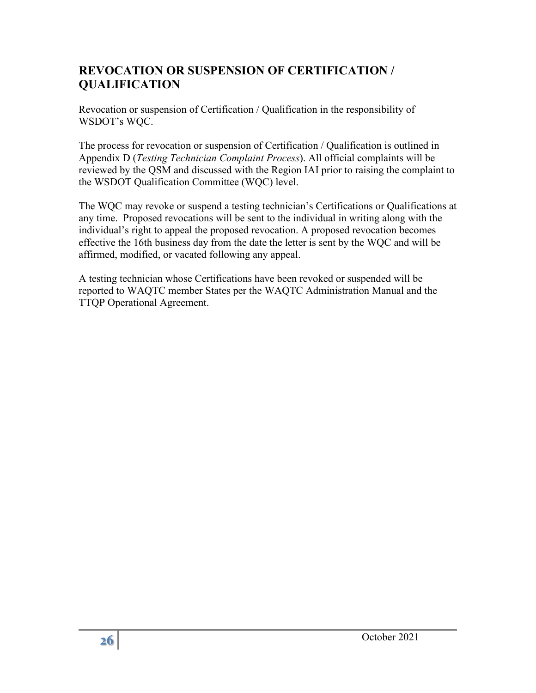## **REVOCATION OR SUSPENSION OF CERTIFICATION / QUALIFICATION**

Revocation or suspension of Certification / Qualification in the responsibility of WSDOT's WQC.

The process for revocation or suspension of Certification / Qualification is outlined in Appendix D (*Testing Technician Complaint Process*). All official complaints will be reviewed by the QSM and discussed with the Region IAI prior to raising the complaint to the WSDOT Qualification Committee (WQC) level.

The WQC may revoke or suspend a testing technician's Certifications or Qualifications at any time. Proposed revocations will be sent to the individual in writing along with the individual's right to appeal the proposed revocation. A proposed revocation becomes effective the 16th business day from the date the letter is sent by the WQC and will be affirmed, modified, or vacated following any appeal.

A testing technician whose Certifications have been revoked or suspended will be reported to WAQTC member States per the WAQTC Administration Manual and the TTQP Operational Agreement.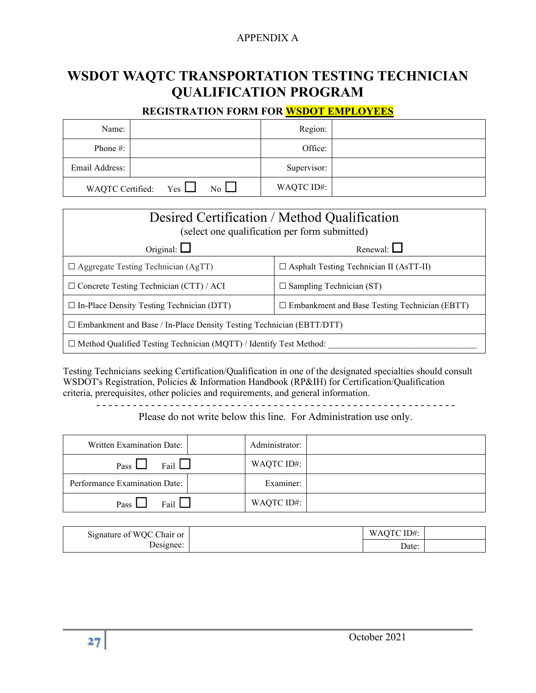#### APPENDIX A

# <span id="page-26-0"></span>**WSDOT WAQTC TRANSPORTATION TESTING TECHNICIAN QUALIFICATION PROGRAM**

#### **REGISTRATION FORM FOR WSDOT EMPLOYEES**

| Name:          |                             |                  | Region:     |  |
|----------------|-----------------------------|------------------|-------------|--|
| Phone #:       |                             |                  | Office:     |  |
| Email Address: |                             |                  | Supervisor: |  |
|                | WAQTC Certified: $Yes \Box$ | $\overline{N_0}$ | WAQTC ID#:  |  |

| Desired Certification / Method Qualification<br>(select one qualification per form submitted)            |                                                |  |
|----------------------------------------------------------------------------------------------------------|------------------------------------------------|--|
| Renewal: $\Box$<br>Original: $\Box$                                                                      |                                                |  |
| $\Box$ Aggregate Testing Technician (AgTT)                                                               | $\Box$ Asphalt Testing Technician II (AsTT-II) |  |
| $\Box$ Concrete Testing Technician (CTT) / ACI<br>$\Box$ Sampling Technician (ST)                        |                                                |  |
| $\Box$ In-Place Density Testing Technician (DTT)<br>$\Box$ Embankment and Base Testing Technician (EBTT) |                                                |  |
| $\Box$ Embankment and Base / In-Place Density Testing Technician (EBTT/DTT)                              |                                                |  |
| $\Box$ Method Qualified Testing Technician (MQTT) / Identify Test Method:                                |                                                |  |

Testing Technicians seeking Certification/Qualification in one of the designated specialties should consult WSDOT's Registration, Policies & Information Handbook (RP&IH) for Certification/Qualification criteria, prerequisites, other policies and requirements, and general information.

- - - - - - - - - - - - - - - - - - - - - - - - - - - - - - - - - - - - - - - - - - - - - - - - - - - - - - - - - - -

Please do not write below this line. For Administration use only.

| Written Examination Date:     | Administrator: |  |
|-------------------------------|----------------|--|
| Fail $\Box$<br>Pass $\Box$    | WAQTC ID#:     |  |
| Performance Examination Date: | Examiner:      |  |
| Fail<br>Pass                  | WAQTC ID#:     |  |

| Signature of WQC Chair or | QTC ID#:<br><b>WAOT</b> |  |
|---------------------------|-------------------------|--|
| Designee:                 | Date:                   |  |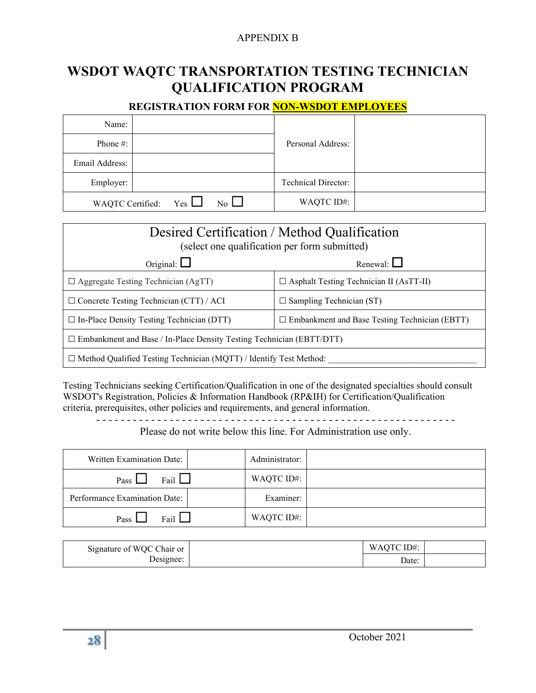#### APPENDIX B

# **WSDOT WAQTC TRANSPORTATION TESTING TECHNICIAN QUALIFICATION PROGRAM**

#### **REGISTRATION FORM FOR NON-WSDOT EMPLOYEES**

| Name:          |                                                 |                            |  |
|----------------|-------------------------------------------------|----------------------------|--|
| Phone #:       |                                                 | Personal Address:          |  |
| Email Address: |                                                 |                            |  |
| Employer:      |                                                 | <b>Technical Director:</b> |  |
|                | WAQTC Certified: $Yes \Box$<br>$\overline{N_0}$ | WAQTC ID#:                 |  |

| Desired Certification / Method Qualification<br>(select one qualification per form submitted)            |                                                |  |  |
|----------------------------------------------------------------------------------------------------------|------------------------------------------------|--|--|
| Renewal: $\Box$<br>Original: $\Box$                                                                      |                                                |  |  |
| $\Box$ Aggregate Testing Technician (AgTT)                                                               | $\Box$ Asphalt Testing Technician II (AsTT-II) |  |  |
| $\Box$ Concrete Testing Technician (CTT) / ACI<br>$\Box$ Sampling Technician (ST)                        |                                                |  |  |
| $\Box$ In-Place Density Testing Technician (DTT)<br>$\Box$ Embankment and Base Testing Technician (EBTT) |                                                |  |  |
| $\square$ Embankment and Base / In-Place Density Testing Technician (EBTT/DTT)                           |                                                |  |  |
| $\Box$ Method Qualified Testing Technician (MQTT) / Identify Test Method:                                |                                                |  |  |

Testing Technicians seeking Certification/Qualification in one of the designated specialties should consult WSDOT's Registration, Policies & Information Handbook (RP&IH) for Certification/Qualification criteria, prerequisites, other policies and requirements, and general information.

- - - - - - - - - - - - - - - - - - - - - - - - - - - - - - - - - - - - - - - - - - - - - - - - - - - - - - - - - - -

#### Please do not write below this line. For Administration use only.

| Written Examination Date:     | Administrator: |  |
|-------------------------------|----------------|--|
| Fail $\Box$<br>Pass $\Box$    | WAQTC ID#:     |  |
| Performance Examination Date: | Examiner:      |  |
| Fail<br>Pass                  | WAQTC ID#:     |  |

| Signature of WQC Chair or | WAQTC ID#: |  |
|---------------------------|------------|--|
| Designee:                 | Date:      |  |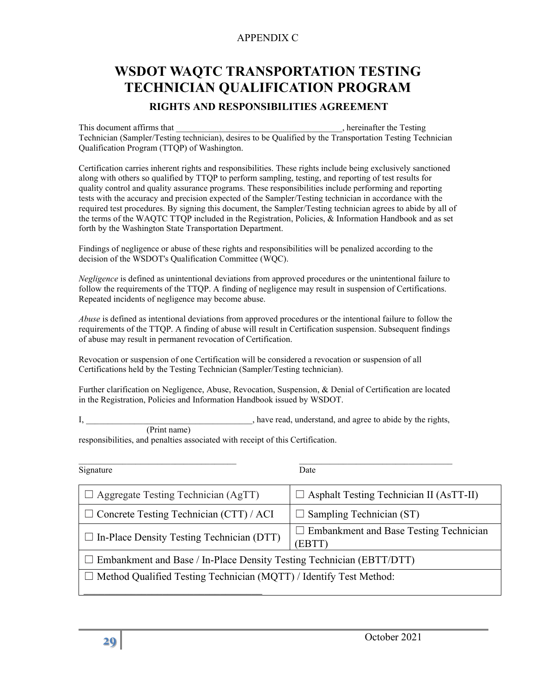#### APPENDIX C

# <span id="page-28-0"></span>**WSDOT WAQTC TRANSPORTATION TESTING TECHNICIAN QUALIFICATION PROGRAM**

#### **RIGHTS AND RESPONSIBILITIES AGREEMENT**

This document affirms that the setting that the Testing setting that the Testing setting that the Testing setting  $\frac{1}{2}$ , hereinafter the Testing Technician (Sampler/Testing technician), desires to be Qualified by the Transportation Testing Technician Qualification Program (TTQP) of Washington.

Certification carries inherent rights and responsibilities. These rights include being exclusively sanctioned along with others so qualified by TTQP to perform sampling, testing, and reporting of test results for quality control and quality assurance programs. These responsibilities include performing and reporting tests with the accuracy and precision expected of the Sampler/Testing technician in accordance with the required test procedures. By signing this document, the Sampler/Testing technician agrees to abide by all of the terms of the WAQTC TTQP included in the Registration, Policies, & Information Handbook and as set forth by the Washington State Transportation Department.

Findings of negligence or abuse of these rights and responsibilities will be penalized according to the decision of the WSDOT's Qualification Committee (WQC).

*Negligence* is defined as unintentional deviations from approved procedures or the unintentional failure to follow the requirements of the TTQP. A finding of negligence may result in suspension of Certifications. Repeated incidents of negligence may become abuse.

*Abuse* is defined as intentional deviations from approved procedures or the intentional failure to follow the requirements of the TTQP. A finding of abuse will result in Certification suspension. Subsequent findings of abuse may result in permanent revocation of Certification.

Revocation or suspension of one Certification will be considered a revocation or suspension of all Certifications held by the Testing Technician (Sampler/Testing technician).

Further clarification on Negligence, Abuse, Revocation, Suspension, & Denial of Certification are located in the Registration, Policies and Information Handbook issued by WSDOT.

I, \_\_\_\_\_\_\_\_\_\_\_\_\_\_\_\_\_\_\_\_\_\_\_\_\_\_\_\_\_\_\_\_\_, have read, understand, and agree to abide by the rights, (Print name)

responsibilities, and penalties associated with receipt of this Certification.

| Signature                                                                   | Date                                                    |  |
|-----------------------------------------------------------------------------|---------------------------------------------------------|--|
| $\Box$ Aggregate Testing Technician (AgTT)                                  | $\Box$ Asphalt Testing Technician II (AsTT-II)          |  |
| $\Box$ Concrete Testing Technician (CTT) / ACI                              | Sampling Technician (ST)                                |  |
| $\Box$ In-Place Density Testing Technician (DTT)                            | <b>Embankment and Base Testing Technician</b><br>(EBTT) |  |
| $\Box$ Embankment and Base / In-Place Density Testing Technician (EBTT/DTT) |                                                         |  |
| $\Box$ Method Qualified Testing Technician (MQTT) / Identify Test Method:   |                                                         |  |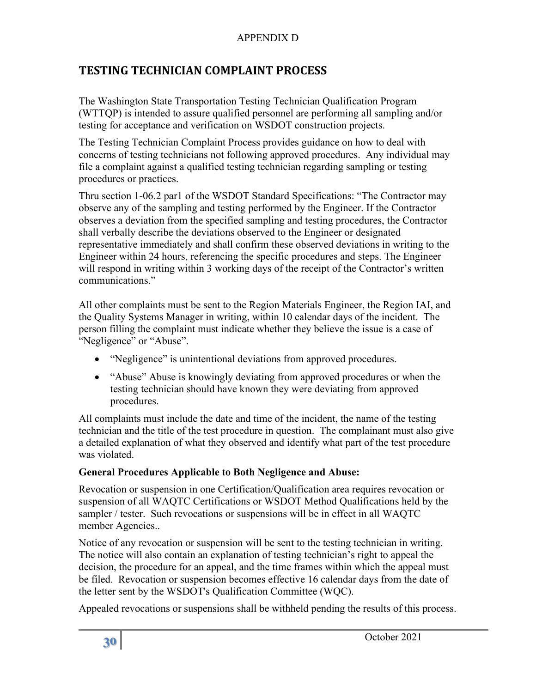## APPENDIX D

## <span id="page-29-0"></span>**TESTING TECHNICIAN COMPLAINT PROCESS**

The Washington State Transportation Testing Technician Qualification Program (WTTQP) is intended to assure qualified personnel are performing all sampling and/or testing for acceptance and verification on WSDOT construction projects.

The Testing Technician Complaint Process provides guidance on how to deal with concerns of testing technicians not following approved procedures. Any individual may file a complaint against a qualified testing technician regarding sampling or testing procedures or practices.

Thru section 1-06.2 par1 of the WSDOT Standard Specifications: "The Contractor may observe any of the sampling and testing performed by the Engineer. If the Contractor observes a deviation from the specified sampling and testing procedures, the Contractor shall verbally describe the deviations observed to the Engineer or designated representative immediately and shall confirm these observed deviations in writing to the Engineer within 24 hours, referencing the specific procedures and steps. The Engineer will respond in writing within 3 working days of the receipt of the Contractor's written communications."

All other complaints must be sent to the Region Materials Engineer, the Region IAI, and the Quality Systems Manager in writing, within 10 calendar days of the incident. The person filling the complaint must indicate whether they believe the issue is a case of "Negligence" or "Abuse".

- "Negligence" is unintentional deviations from approved procedures.
- "Abuse" Abuse is knowingly deviating from approved procedures or when the testing technician should have known they were deviating from approved procedures.

All complaints must include the date and time of the incident, the name of the testing technician and the title of the test procedure in question. The complainant must also give a detailed explanation of what they observed and identify what part of the test procedure was violated.

#### **General Procedures Applicable to Both Negligence and Abuse:**

Revocation or suspension in one Certification/Qualification area requires revocation or suspension of all WAQTC Certifications or WSDOT Method Qualifications held by the sampler / tester. Such revocations or suspensions will be in effect in all WAQTC member Agencies..

Notice of any revocation or suspension will be sent to the testing technician in writing. The notice will also contain an explanation of testing technician's right to appeal the decision, the procedure for an appeal, and the time frames within which the appeal must be filed. Revocation or suspension becomes effective 16 calendar days from the date of the letter sent by the WSDOT's Qualification Committee (WQC).

Appealed revocations or suspensions shall be withheld pending the results of this process.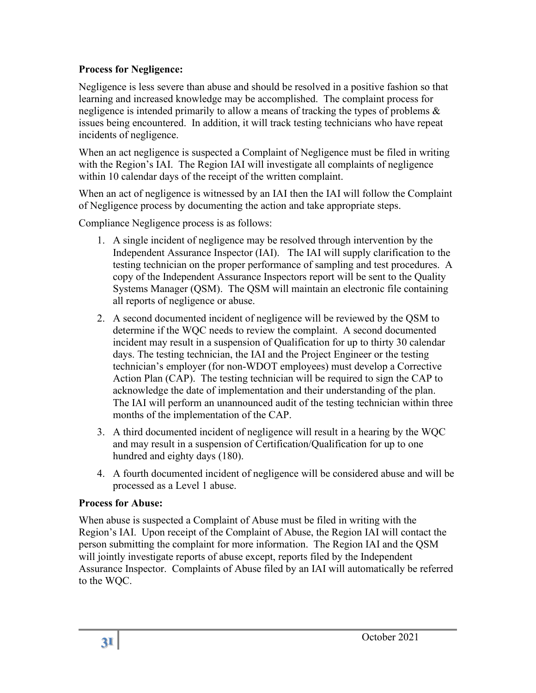### **Process for Negligence:**

Negligence is less severe than abuse and should be resolved in a positive fashion so that learning and increased knowledge may be accomplished. The complaint process for negligence is intended primarily to allow a means of tracking the types of problems & issues being encountered. In addition, it will track testing technicians who have repeat incidents of negligence.

When an act negligence is suspected a Complaint of Negligence must be filed in writing with the Region's IAI. The Region IAI will investigate all complaints of negligence within 10 calendar days of the receipt of the written complaint.

When an act of negligence is witnessed by an IAI then the IAI will follow the Complaint of Negligence process by documenting the action and take appropriate steps.

Compliance Negligence process is as follows:

- 1. A single incident of negligence may be resolved through intervention by the Independent Assurance Inspector (IAI). The IAI will supply clarification to the testing technician on the proper performance of sampling and test procedures. A copy of the Independent Assurance Inspectors report will be sent to the Quality Systems Manager (QSM). The QSM will maintain an electronic file containing all reports of negligence or abuse.
- 2. A second documented incident of negligence will be reviewed by the QSM to determine if the WQC needs to review the complaint. A second documented incident may result in a suspension of Qualification for up to thirty 30 calendar days. The testing technician, the IAI and the Project Engineer or the testing technician's employer (for non-WDOT employees) must develop a Corrective Action Plan (CAP). The testing technician will be required to sign the CAP to acknowledge the date of implementation and their understanding of the plan. The IAI will perform an unannounced audit of the testing technician within three months of the implementation of the CAP.
- 3. A third documented incident of negligence will result in a hearing by the WQC and may result in a suspension of Certification/Qualification for up to one hundred and eighty days (180).
- 4. A fourth documented incident of negligence will be considered abuse and will be processed as a Level 1 abuse.

## **Process for Abuse:**

When abuse is suspected a Complaint of Abuse must be filed in writing with the Region's IAI. Upon receipt of the Complaint of Abuse, the Region IAI will contact the person submitting the complaint for more information. The Region IAI and the QSM will jointly investigate reports of abuse except, reports filed by the Independent Assurance Inspector. Complaints of Abuse filed by an IAI will automatically be referred to the WQC.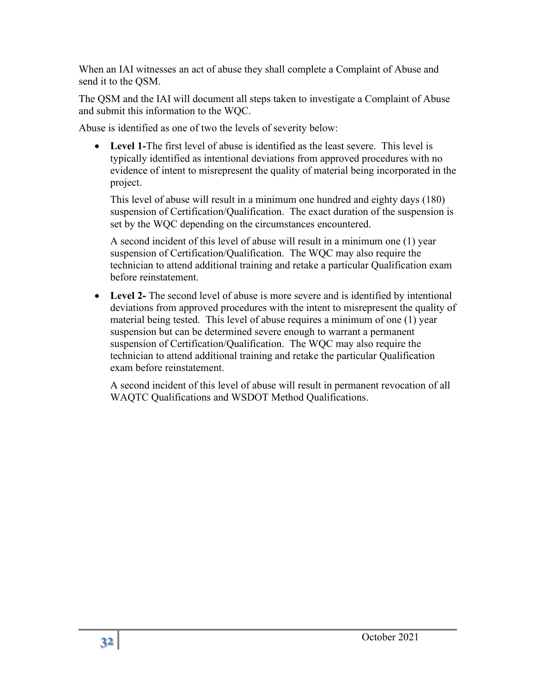When an IAI witnesses an act of abuse they shall complete a Complaint of Abuse and send it to the QSM.

The QSM and the IAI will document all steps taken to investigate a Complaint of Abuse and submit this information to the WQC.

Abuse is identified as one of two the levels of severity below:

• **Level 1-**The first level of abuse is identified as the least severe. This level is typically identified as intentional deviations from approved procedures with no evidence of intent to misrepresent the quality of material being incorporated in the project.

This level of abuse will result in a minimum one hundred and eighty days (180) suspension of Certification/Qualification. The exact duration of the suspension is set by the WQC depending on the circumstances encountered.

A second incident of this level of abuse will result in a minimum one (1) year suspension of Certification/Qualification. The WQC may also require the technician to attend additional training and retake a particular Qualification exam before reinstatement.

• **Level 2-** The second level of abuse is more severe and is identified by intentional deviations from approved procedures with the intent to misrepresent the quality of material being tested. This level of abuse requires a minimum of one (1) year suspension but can be determined severe enough to warrant a permanent suspension of Certification/Qualification. The WQC may also require the technician to attend additional training and retake the particular Qualification exam before reinstatement.

A second incident of this level of abuse will result in permanent revocation of all WAQTC Qualifications and WSDOT Method Qualifications.